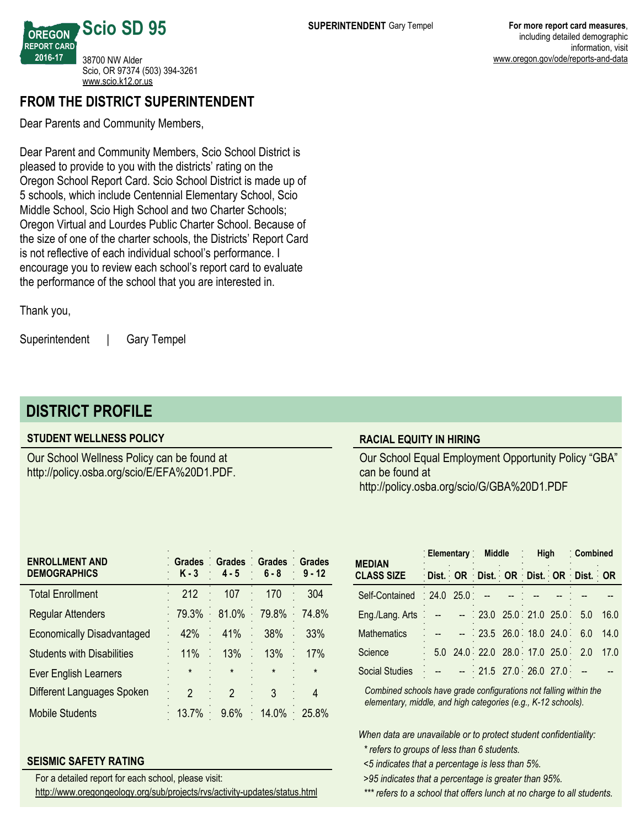**OREGON REPORT CARD 2016-17 Scio SD 95** 38700 NW Alder Scio, OR 97374 (503) 394-3261 <www.scio.k12.or.us>

## **FROM THE DISTRICT SUPERINTENDENT**

Dear Parents and Community Members,

Dear Parent and Community Members, Scio School District is pleased to provide to you with the districts' rating on the Oregon School Report Card. Scio School District is made up of 5 schools, which include Centennial Elementary School, Scio Middle School, Scio High School and two Charter Schools; Oregon Virtual and Lourdes Public Charter School. Because of the size of one of the charter schools, the Districts' Report Card is not reflective of each individual school's performance. I encourage you to review each school's report card to evaluate the performance of the school that you are interested in.

Thank you,

Superintendent | Gary Tempel

# **DISTRICT PROFILE**

#### **STUDENT WELLNESS POLICY**

Our School Wellness Policy can be found at http://policy.osba.org/scio/E/EFA%20D1.PDF.

#### **RACIAL EQUITY IN HIRING**

Our School Equal Employment Opportunity Policy "GBA" can be found at http://policy.osba.org/scio/G/GBA%20D1.PDF

| <b>Grades</b><br>K - 3 | $4 - 5$ | $6 - 8$              | $9 - 12$                                      |
|------------------------|---------|----------------------|-----------------------------------------------|
| 212                    | 107     | 170                  | 304                                           |
| 79.3%                  | 81.0%   | 79.8%                | 74.8%<br>$\ddot{\phantom{0}}$                 |
| 42%                    | 41%     | 38%                  | 33%                                           |
| 11%                    | 13%     | 13%                  | 17%                                           |
| $\star$                | $\star$ | $\star$              | $\star$                                       |
| $\mathfrak{p}$         | 2       | 3                    |                                               |
| 13.7%                  | 9.6%    | 14.0%                | 25.8%                                         |
|                        |         | $\ddot{\phantom{0}}$ | Grades Grades Grades<br>$\epsilon$<br>$\cdot$ |

#### **SEISMIC SAFETY RATING**

<http://www.oregongeology.org/sub/projects/rvs/activity-updates/status.html> For a detailed report for each school, please visit:

| <b>MEDIAN</b>                | Elementary Middle                   |  |  |  | : High                           |  | Combined |      |
|------------------------------|-------------------------------------|--|--|--|----------------------------------|--|----------|------|
| <b>CLASS SIZE</b>            | Dist. OR Dist. OR Dist. OR Dist. OR |  |  |  |                                  |  |          |      |
| Self-Contained . 24.0 25.0   |                                     |  |  |  |                                  |  |          |      |
| Eng./Lang. Arts $\therefore$ | والمسترد المسترد                    |  |  |  | $.23.0$ 25.0 21.0 25.0 5.0       |  |          | 16.0 |
| <b>Mathematics</b>           |                                     |  |  |  | $23.5$ 26.0 18.0 24.0 6.0        |  |          | 14.0 |
| Science                      |                                     |  |  |  | 5.0 24.0 22.0 28.0 17.0 25.0 2.0 |  |          | 17.0 |
| <b>Social Studies</b>        |                                     |  |  |  | 21.5 27.0 26.0 27.0              |  |          |      |

*Combined schools have grade configurations not falling within the elementary, middle, and high categories (e.g., K-12 schools).*

*When data are unavailable or to protect student confidentiality:*

*\* refers to groups of less than 6 students.*

*<5 indicates that a percentage is less than 5%.*

*>95 indicates that a percentage is greater than 95%.*

*\*\*\* refers to a school that offers lunch at no charge to all students.*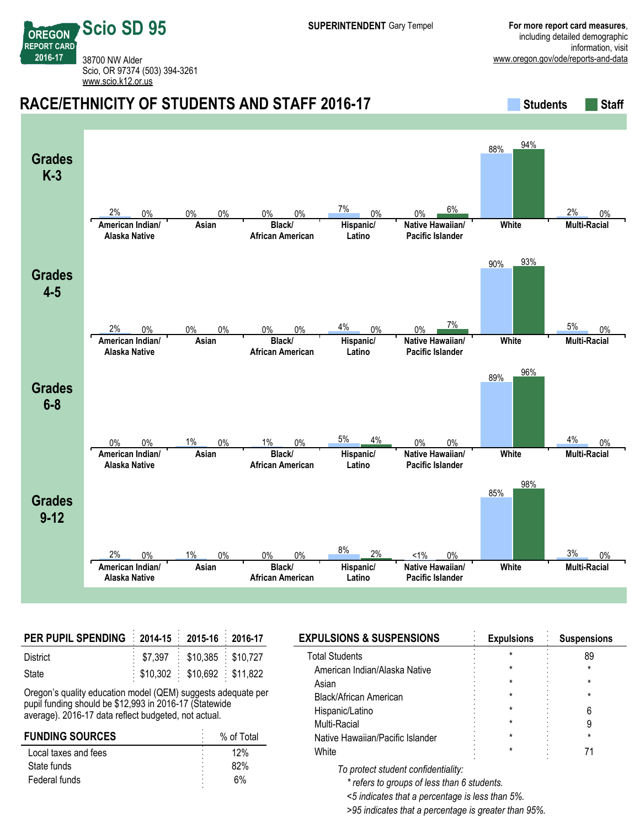**REPORT CARD** 38700 NW Alder Scio, OR 97374 (503) 394-3261 <www.scio.k12.or.us>

**Scio SD 95**

**OREGON**

**2016-17**

#### **RACE/ETHNICITY OF STUDENTS AND STAFF 2016-17 Students** Students Staff **Grades K-3 American Indian/ Alaska Native Asian Black/ African American Hispanic/ Latino Native Hawaiian/ Pacific Islander White Multi-Racial** 2% 0% 0% 0% 0% 0% 7% 0% 0% 6% 88% 94% 2% 0% **Grades 4-5 American Indian/ Alaska Native Asian Black/ African American Hispanic/ Latino Native Hawaiian/ Pacific Islander White Multi-Racial**  $2\%$  0% 0% 0% 0% 0%  $4\%$  0% 0%  $7\%$ 90% 93%  $5\%$  0% **Grades 6-8 American Indian/ Alaska Native Asian Black/ African American Hispanic/ Latino Native Hawaiian/ Pacific Islander White Multi-Racial** 0% 0% 1% 0% 1% 0% 5% 4% 0% 0% 89% 96%  $4\%$  0% **Grades 9-12 American Indian/ Alaska Native Asian Black/ African American Hispanic/ Latino Native Hawaiian/ Pacific Islander White Multi-Racial** 2% 0% 1% 0% 0% 0% 8% 2% <1% 0% 85% 98% 3% 0%

| PER PUPIL SPENDING 2014-15 2015-16 2016-17 |                                          |  |
|--------------------------------------------|------------------------------------------|--|
| District                                   | $\frac{1}{2}$ \$7,397 \$10,385 \$10,727  |  |
| State                                      | $\frac{1}{2}$ \$10,302 \$10,692 \$11,822 |  |

Oregon's quality education model (QEM) suggests adequate per pupil funding should be \$12,993 in 2016-17 (Statewide average). 2016-17 data reflect budgeted, not actual.

| <b>FUNDING SOURCES</b> | % of Total |
|------------------------|------------|
| Local taxes and fees   | 12%        |
| State funds            | 82%        |
| Federal funds          | 6%         |

| <b>EXPULSIONS &amp; SUSPENSIONS</b> | <b>Expulsions</b> | <b>Suspensions</b> |
|-------------------------------------|-------------------|--------------------|
| <b>Total Students</b>               |                   | 89                 |
| American Indian/Alaska Native       | *                 |                    |
| Asian                               | *                 |                    |
| Black/African American              | *                 |                    |
| Hispanic/Latino                     | $^\star$          |                    |
| Multi-Racial                        | ÷                 |                    |
| Native Hawaiian/Pacific Islander    | $^\star$          |                    |
| White                               | *                 |                    |
|                                     |                   |                    |

*To protect student confidentiality:*

*\* refers to groups of less than 6 students.*

*<5 indicates that a percentage is less than 5%.*

*>95 indicates that a percentage is greater than 95%.*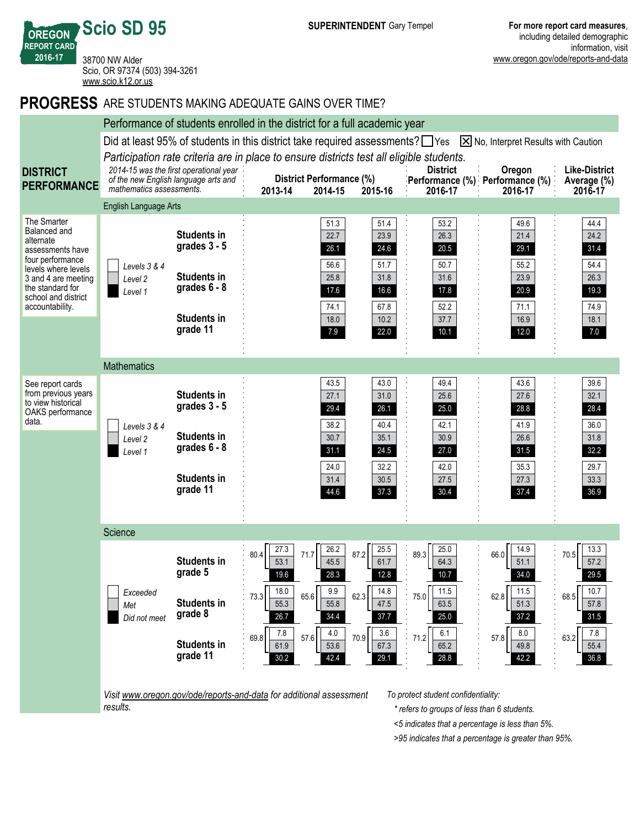

### **PROGRESS** ARE STUDENTS MAKING ADEQUATE GAINS OVER TIME?



*Visit www.oregon.gov/ode/reports-and-data for additional assessment results.*

*To protect student confidentiality:*

*\* refers to groups of less than 6 students.*

*<5 indicates that a percentage is less than 5%.*

*>95 indicates that a percentage is greater than 95%.*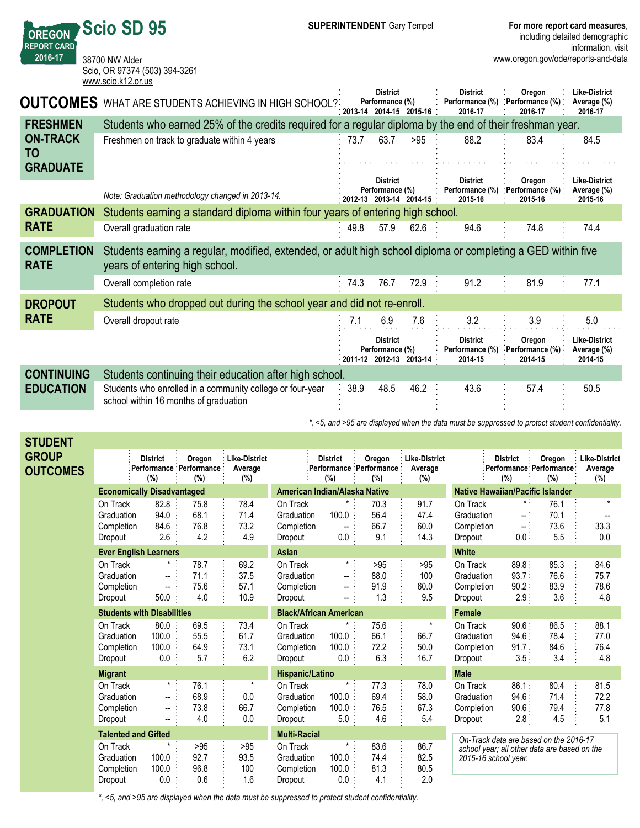**OREGON REPORT CARD 2016-17 Scio SD 95** 38700 NW Alder Scio, OR 97374 (503) 394-3261 <www.scio.k12.or.us>

**STUDENT**

|                                  | WWW.SUIU.NTZ.UI.US                                                                                                                             |            |                                               |                         |                                               |                                       |                                                |
|----------------------------------|------------------------------------------------------------------------------------------------------------------------------------------------|------------|-----------------------------------------------|-------------------------|-----------------------------------------------|---------------------------------------|------------------------------------------------|
| <b>OUTCOMES</b>                  | WHAT ARE STUDENTS ACHIEVING IN HIGH SCHOOL?                                                                                                    | ່ 2013-14  | <b>District</b><br>Performance (%)<br>2014-15 | $2015 - 16$             | <b>District</b><br>Performance (%)<br>2016-17 | Oregon<br>Performance (%):<br>2016-17 | <b>Like-District</b><br>Average (%)<br>2016-17 |
| <b>FRESHMEN</b>                  | Students who earned 25% of the credits required for a regular diploma by the end of their freshman year.                                       |            |                                               |                         |                                               |                                       |                                                |
| <b>ON-TRACK</b><br><b>TO</b>     | Freshmen on track to graduate within 4 years                                                                                                   | 73.7       | 63.7                                          | >95                     | 88.2                                          | 83.4                                  | 84.5                                           |
| <b>GRADUATE</b>                  |                                                                                                                                                |            |                                               |                         |                                               |                                       |                                                |
|                                  | Note: Graduation methodology changed in 2013-14.                                                                                               | $-2012-13$ | <b>District</b><br>Performance (%)            | 2013-14 2014-15         | <b>District</b><br>Performance (%)<br>2015-16 | Oregon<br>Performance (%):<br>2015-16 | <b>Like-District</b><br>Average (%)<br>2015-16 |
| <b>GRADUATION</b>                | Students earning a standard diploma within four years of entering high school.                                                                 |            |                                               |                         |                                               |                                       |                                                |
| <b>RATE</b>                      | Overall graduation rate                                                                                                                        | 49.8       | 57.9                                          | 62.6                    | 94.6                                          | 74.8                                  | 74.4                                           |
| <b>COMPLETION</b><br><b>RATE</b> | Students earning a regular, modified, extended, or adult high school diploma or completing a GED within five<br>years of entering high school. |            |                                               |                         |                                               |                                       |                                                |
|                                  | Overall completion rate                                                                                                                        | 74.3       | 76.7                                          | 72.9                    | 91.2                                          | 81.9                                  | 77.1                                           |
| <b>DROPOUT</b>                   | Students who dropped out during the school year and did not re-enroll.                                                                         |            |                                               |                         |                                               |                                       |                                                |
| <b>RATE</b>                      | Overall dropout rate                                                                                                                           | 7.1        | 6.9                                           | 7.6                     | 3.2                                           | 3.9                                   | 5.0                                            |
|                                  |                                                                                                                                                |            | <b>District</b><br>Performance (%)            | 2011-12 2012-13 2013-14 | <b>District</b><br>Performance (%)<br>2014-15 | Oregon<br>Performance (%)<br>2014-15  | <b>Like-District</b><br>Average (%)<br>2014-15 |
| <b>CONTINUING</b>                | Students continuing their education after high school.                                                                                         |            |                                               |                         |                                               |                                       |                                                |
| <b>EDUCATION</b>                 | Students who enrolled in a community college or four-year<br>school within 16 months of graduation                                             | 38.9       | 48.5                                          | 46.2                    | 43.6                                          | 57.4                                  | 50.5                                           |

*\*, <5, and >95 are displayed when the data must be suppressed to protect student confidentiality.*

|                            | <b>District</b><br>(%)                 | Oregon<br>(%)                                                                                                                            | <b>Like-District</b><br>Average<br>(%)                                                                                           |                               | <b>District</b><br>(%)            | Oregon<br>(%)                                                                                                                                                                                                           | <b>Like-District</b><br>Average<br>$(\%)$                                          |                               | <b>District</b><br>(%)        | Oregon<br>(%)                                                                                                                        | <b>Like-District</b><br>Average<br>$(\%)$                                                                                                                                             |
|----------------------------|----------------------------------------|------------------------------------------------------------------------------------------------------------------------------------------|----------------------------------------------------------------------------------------------------------------------------------|-------------------------------|-----------------------------------|-------------------------------------------------------------------------------------------------------------------------------------------------------------------------------------------------------------------------|------------------------------------------------------------------------------------|-------------------------------|-------------------------------|--------------------------------------------------------------------------------------------------------------------------------------|---------------------------------------------------------------------------------------------------------------------------------------------------------------------------------------|
|                            |                                        |                                                                                                                                          |                                                                                                                                  |                               |                                   |                                                                                                                                                                                                                         |                                                                                    |                               |                               |                                                                                                                                      |                                                                                                                                                                                       |
| On Track<br>Dropout        | 82.8<br>94.0<br>84.6<br>2.6            | 75.8<br>68.1<br>76.8<br>4.2                                                                                                              | 78.4<br>71.4<br>73.2<br>4.9                                                                                                      | Dropout                       | $\star$<br>100.0<br>−−<br>0.0     | 70.3<br>56.4<br>66.7<br>9.1                                                                                                                                                                                             | 91.7<br>47.4<br>60.0<br>14.3                                                       | On Track<br>Dropout           | --<br>-- 1<br>0.0:            | 76.1<br>70.1<br>73.6<br>5.5                                                                                                          | $\star$<br>33.3<br>0.0                                                                                                                                                                |
|                            |                                        |                                                                                                                                          |                                                                                                                                  | <b>Asian</b>                  |                                   |                                                                                                                                                                                                                         |                                                                                    | <b>White</b>                  |                               |                                                                                                                                      |                                                                                                                                                                                       |
| On Track<br>Dropout        | --<br>$\overline{\phantom{a}}$<br>50.0 | 78.7<br>71.1<br>75.6<br>4.0                                                                                                              | 69.2<br>37.5<br>57.1<br>10.9                                                                                                     | Dropout                       | --<br>--                          | >95<br>88.0<br>91.9<br>1.3                                                                                                                                                                                              | >95<br>100<br>60.0<br>9.5                                                          | On Track<br>Dropout           | 93.7<br>90.2:                 | 85.3<br>76.6<br>83.9<br>3.6                                                                                                          | 84.6<br>75.7<br>78.6<br>4.8                                                                                                                                                           |
|                            |                                        |                                                                                                                                          |                                                                                                                                  |                               |                                   |                                                                                                                                                                                                                         |                                                                                    | <b>Female</b>                 |                               |                                                                                                                                      |                                                                                                                                                                                       |
| On Track<br>Dropout        | 80.0<br>100.0<br>100.0<br>0.0          | 69.5<br>55.5<br>64.9<br>5.7                                                                                                              | 73.4<br>61.7<br>73.1<br>6.2                                                                                                      | Dropout                       | *<br>100.0<br>100.0               | 75.6<br>66.1<br>72.2<br>6.3                                                                                                                                                                                             | $\star$<br>66.7<br>50.0<br>16.7                                                    | On Track<br>Dropout           | 90.6<br>94.6<br>91.7.<br>3.5: | 86.5<br>78.4<br>84.6<br>3.4                                                                                                          | 88.1<br>77.0<br>76.4<br>4.8                                                                                                                                                           |
| <b>Migrant</b>             |                                        |                                                                                                                                          |                                                                                                                                  |                               |                                   |                                                                                                                                                                                                                         |                                                                                    | <b>Male</b>                   |                               |                                                                                                                                      |                                                                                                                                                                                       |
| On Track<br>Dropout        | --                                     | 76.1<br>68.9<br>73.8<br>4.0                                                                                                              | $^\star$<br>0.0<br>66.7<br>0.0                                                                                                   | Dropout                       | $^\star$<br>100.0<br>100.0<br>5.0 | 77.3<br>69.4<br>76.5<br>4.6                                                                                                                                                                                             | 78.0<br>58.0<br>67.3<br>5.4                                                        | On Track<br>Dropout           | 86.1<br>94.6<br>90.6          | 80.4<br>71.4<br>79.4<br>4.5                                                                                                          | 81.5<br>72.2<br>77.8<br>5.1                                                                                                                                                           |
| <b>Talented and Gifted</b> |                                        |                                                                                                                                          | <b>Multi-Racial</b>                                                                                                              |                               |                                   |                                                                                                                                                                                                                         |                                                                                    |                               |                               |                                                                                                                                      |                                                                                                                                                                                       |
| On Track<br>Dropout        | 100.0<br>100.0<br>0.0                  | >95<br>92.7<br>96.8<br>0.6                                                                                                               | >95<br>93.5<br>100<br>1.6                                                                                                        | Dropout                       | $\star$<br>100.0<br>100.0<br>0.0  | 83.6<br>74.4<br>81.3<br>4.1                                                                                                                                                                                             | 86.7<br>82.5<br>80.5<br>2.0                                                        |                               |                               |                                                                                                                                      |                                                                                                                                                                                       |
|                            |                                        | Graduation<br>Completion<br>Graduation<br>Completion<br>Graduation<br>Completion<br>Graduation<br>Completion<br>Graduation<br>Completion | <b>Economically Disadvantaged</b><br><b>Ever English Learners</b><br>$\star$ :<br><b>Students with Disabilities</b><br>$\star$ : | : Performance : Performance : |                                   | On Track<br>Graduation<br>Completion<br>On Track<br>Graduation<br>Completion<br>On Track<br>Graduation<br>Completion<br>Hispanic/Latino<br>On Track<br>Graduation<br>Completion<br>On Track<br>Graduation<br>Completion | American Indian/Alaska Native<br>$\star$<br><b>Black/African American</b><br>0.0 : | : Performance : Performance : |                               | Graduation<br>Completion<br>Graduation<br>Completion<br>Graduation<br>Completion<br>Graduation<br>Completion<br>2015-16 school year. | Performance Performance<br><b>Native Hawaiian/Pacific Islander</b><br>89.8.<br>2.9:<br>2.8.<br>On-Track data are based on the 2016-17<br>school year; all other data are based on the |

*\*, <5, and >95 are displayed when the data must be suppressed to protect student confidentiality.*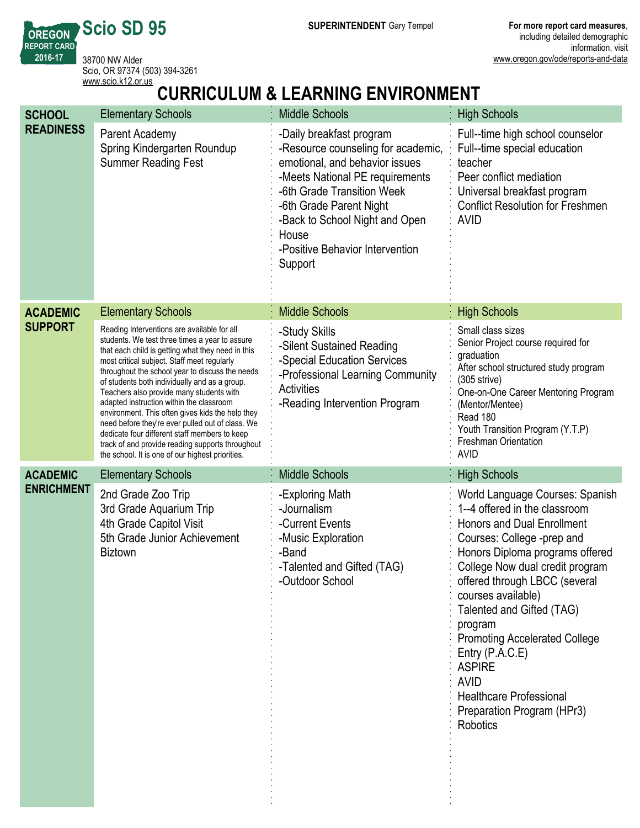**SUPERINTENDENT** Gary Tempel **For more report card measures**,

**REPORT CARD** 38700 NW Alder Scio, OR 97374 (503) 394-3261 <www.scio.k12.or.us>

**Scio SD 95**

**OREGON**

**2016-17**

# **CURRICULUM & LEARNING ENVIRONMENT**

| <b>SCHOOL</b>     | <b>Elementary Schools</b>                                                                                                                                                                                                                                                                                                                                                                                                                                                                                                                                                                                                                                      | <b>Middle Schools</b>                                                                                                                                                                                                                                                                 | <b>High Schools</b>                                                                                                                                                                                                                                                                                                                                                                                                                                                               |
|-------------------|----------------------------------------------------------------------------------------------------------------------------------------------------------------------------------------------------------------------------------------------------------------------------------------------------------------------------------------------------------------------------------------------------------------------------------------------------------------------------------------------------------------------------------------------------------------------------------------------------------------------------------------------------------------|---------------------------------------------------------------------------------------------------------------------------------------------------------------------------------------------------------------------------------------------------------------------------------------|-----------------------------------------------------------------------------------------------------------------------------------------------------------------------------------------------------------------------------------------------------------------------------------------------------------------------------------------------------------------------------------------------------------------------------------------------------------------------------------|
| <b>READINESS</b>  | Parent Academy<br>Spring Kindergarten Roundup<br><b>Summer Reading Fest</b>                                                                                                                                                                                                                                                                                                                                                                                                                                                                                                                                                                                    | -Daily breakfast program<br>-Resource counseling for academic,<br>emotional, and behavior issues<br>-Meets National PE requirements<br>-6th Grade Transition Week<br>-6th Grade Parent Night<br>-Back to School Night and Open<br>House<br>-Positive Behavior Intervention<br>Support | Full--time high school counselor<br>Full--time special education<br>teacher<br>Peer conflict mediation<br>Universal breakfast program<br><b>Conflict Resolution for Freshmen</b><br><b>AVID</b>                                                                                                                                                                                                                                                                                   |
| <b>ACADEMIC</b>   | <b>Elementary Schools</b>                                                                                                                                                                                                                                                                                                                                                                                                                                                                                                                                                                                                                                      | <b>Middle Schools</b>                                                                                                                                                                                                                                                                 | <b>High Schools</b>                                                                                                                                                                                                                                                                                                                                                                                                                                                               |
| <b>SUPPORT</b>    | Reading Interventions are available for all<br>students. We test three times a year to assure<br>that each child is getting what they need in this<br>most critical subject. Staff meet regularly<br>throughout the school year to discuss the needs<br>of students both individually and as a group.<br>Teachers also provide many students with<br>adapted instruction within the classroom<br>environment. This often gives kids the help they<br>need before they're ever pulled out of class. We<br>dedicate four different staff members to keep<br>track of and provide reading supports throughout<br>the school. It is one of our highest priorities. | -Study Skills<br>-Silent Sustained Reading<br>-Special Education Services<br>-Professional Learning Community<br><b>Activities</b><br>-Reading Intervention Program                                                                                                                   | Small class sizes<br>Senior Project course required for<br>graduation<br>After school structured study program<br>(305 strive)<br>One-on-One Career Mentoring Program<br>(Mentor/Mentee)<br>Read 180<br>Youth Transition Program (Y.T.P)<br><b>Freshman Orientation</b><br><b>AVID</b>                                                                                                                                                                                            |
| <b>ACADEMIC</b>   | <b>Elementary Schools</b>                                                                                                                                                                                                                                                                                                                                                                                                                                                                                                                                                                                                                                      | <b>Middle Schools</b>                                                                                                                                                                                                                                                                 | <b>High Schools</b>                                                                                                                                                                                                                                                                                                                                                                                                                                                               |
| <b>ENRICHMENT</b> | 2nd Grade Zoo Trip<br>3rd Grade Aquarium Trip<br>4th Grade Capitol Visit<br>5th Grade Junior Achievement<br><b>Biztown</b>                                                                                                                                                                                                                                                                                                                                                                                                                                                                                                                                     | -Exploring Math<br>-Journalism<br>-Current Events<br>-Music Exploration<br>-Band<br>-Talented and Gifted (TAG)<br>-Outdoor School                                                                                                                                                     | World Language Courses: Spanish<br>1--4 offered in the classroom<br><b>Honors and Dual Enrollment</b><br>Courses: College -prep and<br>Honors Diploma programs offered<br>College Now dual credit program<br>offered through LBCC (several<br>courses available)<br>Talented and Gifted (TAG)<br>program<br><b>Promoting Accelerated College</b><br>Entry $(P.A.C.E)$<br><b>ASPIRE</b><br><b>AVID</b><br><b>Healthcare Professional</b><br>Preparation Program (HPr3)<br>Robotics |